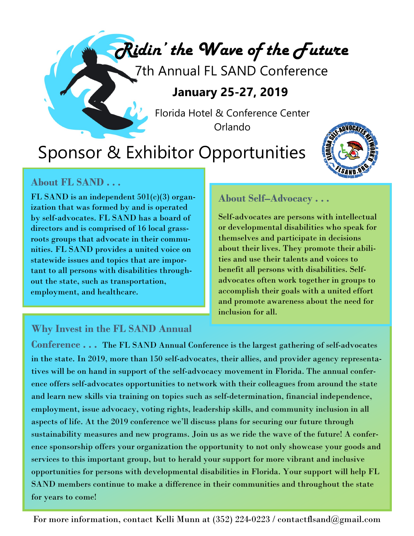*Ridin' the Wave of the Future*

7th Annual FL SAND Conference

### **January 25-27, 2019**

Florida Hotel & Conference Center Orlando

## Sponsor & Exhibitor Opportunities



### **About FL SAND . . .**

FL SAND is an independent 501(c)(3) organization that was formed by and is operated by self-advocates. FL SAND has a board of directors and is comprised of 16 local grassroots groups that advocate in their communities. FL SAND provides a united voice on statewide issues and topics that are important to all persons with disabilities throughout the state, such as transportation, employment, and healthcare.

#### **About Self–Advocacy . . .**

Self-advocates are persons with intellectual or developmental disabilities who speak for themselves and participate in decisions about their lives. They promote their abilities and use their talents and voices to benefit all persons with disabilities. Selfadvocates often work together in groups to accomplish their goals with a united effort and promote awareness about the need for inclusion for all.

#### **Why Invest in the FL SAND Annual**

**Conference . . .** The FL SAND Annual Conference is the largest gathering of self-advocates in the state. In 2019, more than 150 self-advocates, their allies, and provider agency representatives will be on hand in support of the self-advocacy movement in Florida. The annual conference offers self-advocates opportunities to network with their colleagues from around the state and learn new skills via training on topics such as self-determination, financial independence, employment, issue advocacy, voting rights, leadership skills, and community inclusion in all aspects of life. At the 2019 conference we'll discuss plans for securing our future through sustainability measures and new programs. Join us as we ride the wave of the future! A conference sponsorship offers your organization the opportunity to not only showcase your goods and services to this important group, but to herald your support for more vibrant and inclusive opportunities for persons with developmental disabilities in Florida. Your support will help FL SAND members continue to make a difference in their communities and throughout the state for years to come!

For more information, contact Kelli Munn at (352) 224-0223 / contactflsand@gmail.com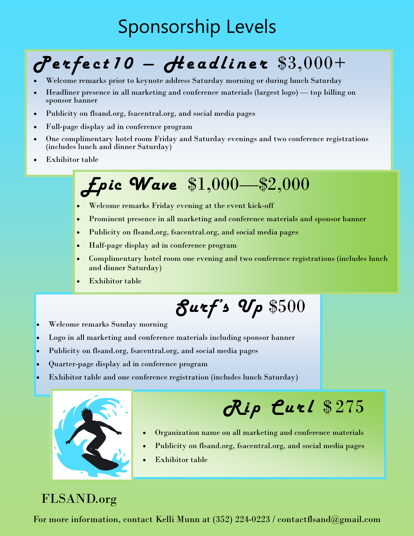## Sponsorship Levels

# *P e r f e ct 1 0 — H e a d l i n e r* \$3,000+

- Welcome remarks prior to keynote address Saturday morning or during lunch Saturday
- Headliner presence in all marketing and conference materials (largest logo) top billing on sponsor banner
- Publicity on flsand.org, fsacentral.org, and social media pages
- Full-page display ad in conference program
- One complimentary hotel room Friday and Saturday evenings and two conference registrations (includes lunch and dinner Saturday)
- Exhibitor table

## *Epic Wave* \$1,000—\$2,000

- Welcome remarks Friday evening at the event kick-off
- Prominent presence in all marketing and conference materials and sponsor banner
- Publicity on flsand.org, fsacentral.org, and social media pages
- Half-page display ad in conference program
- Complimentary hotel room one evening and two conference registrations (includes lunch and dinner Saturday)
- Exhibitor table

# *Surf's Up* \$500

- Welcome remarks Sunday morning
- Logo in all marketing and conference materials including sponsor banner
- Publicity on flsand.org, fsacentral.org, and social media pages
- Quarter-page display ad in conference program
- Exhibitor table and one conference registration (includes lunch Saturday)



# *R i p C u r l* \$ 275

- Organization name on all marketing and conference materials
- Publicity on flsand.org, fsacentral.org, and social media pages
- Exhibitor table

### FLSAND.org

For more information, contact Kelli Munn at (352) 224-0223 / contactflsand@gmail.com